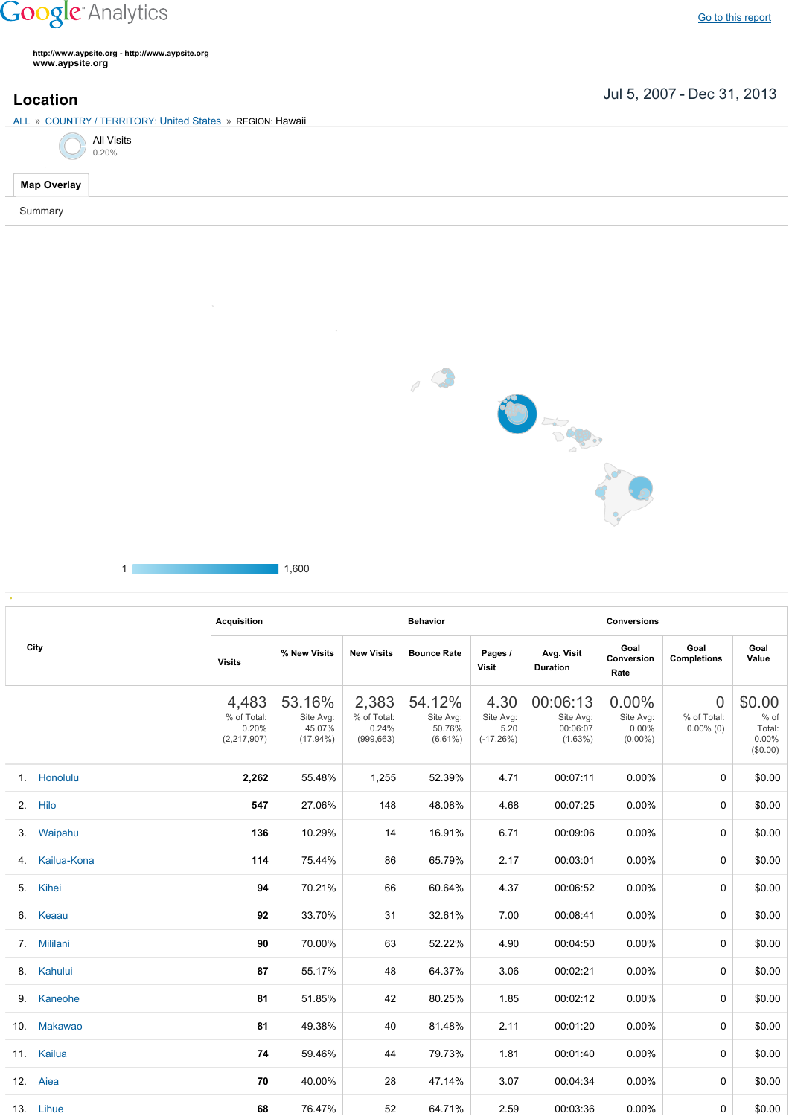## **Google** Analytics

**http://www.aypsite.org http://www.aypsite.org www.aypsite.org**

## Jul 5, 2007 Dec 31, 2013 **Location**

ALL » COUNTRY / TERRITORY: United States » REGION: Hawaii

|                    | <b>All Visits</b><br>0.20% |
|--------------------|----------------------------|
| <b>Map Overlay</b> |                            |

Summary

l.



1 1,600

|     | <b>Acquisition</b> |                                              |                                              | <b>Behavior</b>                             |                                             |                                          | <b>Conversions</b>                              |                                           |                                               |                                                    |
|-----|--------------------|----------------------------------------------|----------------------------------------------|---------------------------------------------|---------------------------------------------|------------------------------------------|-------------------------------------------------|-------------------------------------------|-----------------------------------------------|----------------------------------------------------|
|     | City               | <b>Visits</b>                                | % New Visits                                 | <b>New Visits</b>                           | <b>Bounce Rate</b>                          | Pages /<br><b>Visit</b>                  | Avg. Visit<br><b>Duration</b>                   | Goal<br><b>Conversion</b><br>Rate         | Goal<br><b>Completions</b>                    | Goal<br>Value                                      |
|     |                    | 4,483<br>% of Total:<br>0.20%<br>(2,217,907) | 53.16%<br>Site Avg:<br>45.07%<br>$(17.94\%)$ | 2,383<br>% of Total:<br>0.24%<br>(999, 663) | 54.12%<br>Site Avg:<br>50.76%<br>$(6.61\%)$ | 4.30<br>Site Avg:<br>5.20<br>$(-17.26%)$ | 00:06:13<br>Site Avg:<br>00:06:07<br>$(1.63\%)$ | 0.00%<br>Site Avg:<br>0.00%<br>$(0.00\%)$ | $\overline{0}$<br>% of Total:<br>$0.00\%$ (0) | \$0.00<br>$%$ of<br>Total:<br>$0.00\%$<br>(\$0.00) |
|     | 1. Honolulu        | 2,262                                        | 55.48%                                       | 1,255                                       | 52.39%                                      | 4.71                                     | 00:07:11                                        | $0.00\%$                                  | 0                                             | \$0.00                                             |
|     | 2. Hilo            | 547                                          | 27.06%                                       | 148                                         | 48.08%                                      | 4.68                                     | 00:07:25                                        | $0.00\%$                                  | $\Omega$                                      | \$0.00                                             |
| 3.  | Waipahu            | 136                                          | 10.29%                                       | 14                                          | 16.91%                                      | 6.71                                     | 00:09:06                                        | 0.00%                                     | 0                                             | \$0.00                                             |
| 4.  | Kailua-Kona        | 114                                          | 75.44%                                       | 86                                          | 65.79%                                      | 2.17                                     | 00:03:01                                        | 0.00%                                     | $\Omega$                                      | \$0.00                                             |
| 5.  | Kihei              | 94                                           | 70.21%                                       | 66                                          | 60.64%                                      | 4.37                                     | 00:06:52                                        | 0.00%                                     | 0                                             | \$0.00                                             |
|     | 6. Keaau           | 92                                           | 33.70%                                       | 31                                          | 32.61%                                      | 7.00                                     | 00:08:41                                        | 0.00%                                     | 0                                             | \$0.00                                             |
|     | 7. Mililani        | 90                                           | 70.00%                                       | 63                                          | 52.22%                                      | 4.90                                     | 00:04:50                                        | 0.00%                                     | 0                                             | \$0.00                                             |
|     | 8. Kahului         | 87                                           | 55.17%                                       | 48                                          | 64.37%                                      | 3.06                                     | 00:02:21                                        | 0.00%                                     | 0                                             | \$0.00                                             |
|     | 9. Kaneohe         | 81                                           | 51.85%                                       | 42                                          | 80.25%                                      | 1.85                                     | 00:02:12                                        | 0.00%                                     | 0                                             | \$0.00                                             |
| 10. | Makawao            | 81                                           | 49.38%                                       | 40                                          | 81.48%                                      | 2.11                                     | 00:01:20                                        | $0.00\%$                                  | 0                                             | \$0.00                                             |
|     | 11. Kailua         | 74                                           | 59.46%                                       | 44                                          | 79.73%                                      | 1.81                                     | 00:01:40                                        | $0.00\%$                                  | 0                                             | \$0.00                                             |
|     | 12. Aiea           | 70                                           | 40.00%                                       | 28                                          | 47.14%                                      | 3.07                                     | 00:04:34                                        | $0.00\%$                                  | 0                                             | \$0.00                                             |
|     | 13. Lihue          | 68                                           | 76.47%                                       | 52                                          | 64.71%                                      | 2.59                                     | 00:03:36                                        | 0.00%                                     | 0                                             | \$0.00                                             |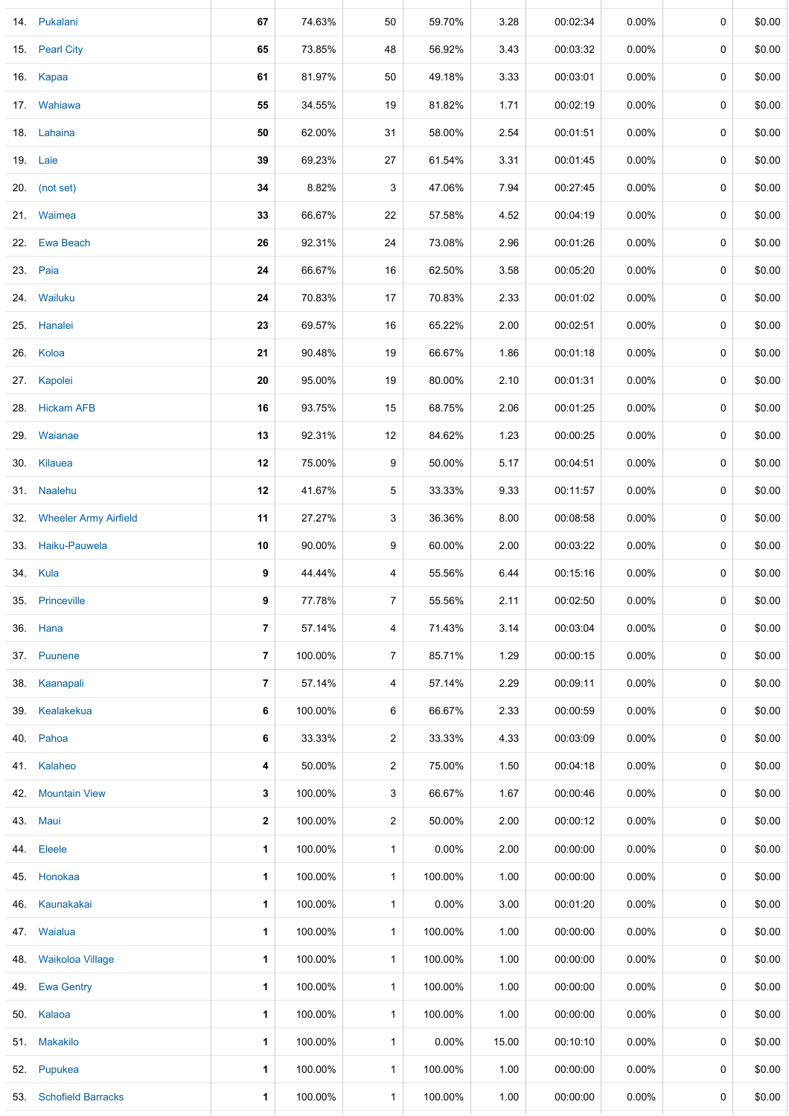|     | 14. Pukalani              | 67                       | 74.63%  | 50             | 59.70%   | 3.28  | 00:02:34 | $0.00\%$ | 0 | \$0.00 |
|-----|---------------------------|--------------------------|---------|----------------|----------|-------|----------|----------|---|--------|
|     | 15. Pearl City            | 65                       | 73.85%  | 48             | 56.92%   | 3.43  | 00:03:32 | 0.00%    | 0 | \$0.00 |
|     | 16. Kapaa                 | 61                       | 81.97%  | 50             | 49.18%   | 3.33  | 00:03:01 | $0.00\%$ | 0 | \$0.00 |
|     | 17. Wahiawa               | 55                       | 34.55%  | 19             | 81.82%   | 1.71  | 00:02:19 | $0.00\%$ | 0 | \$0.00 |
|     | 18. Lahaina               | 50                       | 62.00%  | 31             | 58.00%   | 2.54  | 00:01:51 | 0.00%    | 0 | \$0.00 |
|     | 19. Laie                  | 39                       | 69.23%  | 27             | 61.54%   | 3.31  | 00:01:45 | $0.00\%$ | 0 | \$0.00 |
|     | 20. (not set)             | 34                       | 8.82%   | 3              | 47.06%   | 7.94  | 00:27:45 | $0.00\%$ | 0 | \$0.00 |
|     | 21. Waimea                | 33                       | 66.67%  | 22             | 57.58%   | 4.52  | 00:04:19 | $0.00\%$ | 0 | \$0.00 |
|     | 22. Ewa Beach             | 26                       | 92.31%  | 24             | 73.08%   | 2.96  | 00:01:26 | 0.00%    | 0 | \$0.00 |
|     | 23. Paia                  | 24                       | 66.67%  | 16             | 62.50%   | 3.58  | 00:05:20 | $0.00\%$ | 0 | \$0.00 |
|     | 24. Wailuku               | 24                       | 70.83%  | 17             | 70.83%   | 2.33  | 00:01:02 | 0.00%    | 0 | \$0.00 |
|     | 25. Hanalei               | 23                       | 69.57%  | 16             | 65.22%   | 2.00  | 00:02:51 | 0.00%    | 0 | \$0.00 |
|     | 26. Koloa                 | 21                       | 90.48%  | 19             | 66.67%   | 1.86  | 00:01:18 | $0.00\%$ | 0 | \$0.00 |
|     | 27. Kapolei               | ${\bf 20}$               | 95.00%  | 19             | 80.00%   | 2.10  | 00:01:31 | $0.00\%$ | 0 | \$0.00 |
|     | 28. Hickam AFB            | 16                       | 93.75%  | 15             | 68.75%   | 2.06  | 00:01:25 | 0.00%    | 0 | \$0.00 |
|     | 29. Waianae               | 13                       | 92.31%  | 12             | 84.62%   | 1.23  | 00:00:25 | $0.00\%$ | 0 | \$0.00 |
|     | 30. Kilauea               | 12                       | 75.00%  | 9              | 50.00%   | 5.17  | 00:04:51 | 0.00%    | 0 | \$0.00 |
|     | 31. Naalehu               | 12                       | 41.67%  | 5              | 33.33%   | 9.33  | 00:11:57 | $0.00\%$ | 0 | \$0.00 |
|     | 32. Wheeler Army Airfield | 11                       | 27.27%  | 3              | 36.36%   | 8.00  | 00:08:58 | $0.00\%$ | 0 | \$0.00 |
|     | 33. Haiku-Pauwela         | 10                       | 90.00%  | 9              | 60.00%   | 2.00  | 00:03:22 | $0.00\%$ | 0 | \$0.00 |
|     | 34. Kula                  | 9                        | 44.44%  | 4              | 55.56%   | 6.44  | 00:15:16 | $0.00\%$ | 0 | \$0.00 |
| 35. | Princeville               | 9                        | 77.78%  | 7              | 55.56%   | 2.11  | 00:02:50 | 0.00%    | 0 | \$0.00 |
| 36. | Hana                      | $\overline{7}$           | 57.14%  | 4              | 71.43%   | 3.14  | 00:03:04 | $0.00\%$ | 0 | \$0.00 |
|     | 37. Puunene               | $\overline{\phantom{a}}$ | 100.00% | $\overline{7}$ | 85.71%   | 1.29  | 00:00:15 | $0.00\%$ | 0 | \$0.00 |
| 38. | Kaanapali                 | $\overline{7}$           | 57.14%  | 4              | 57.14%   | 2.29  | 00:09:11 | $0.00\%$ | 0 | \$0.00 |
| 39. | Kealakekua                | 6                        | 100.00% | 6              | 66.67%   | 2.33  | 00:00:59 | $0.00\%$ | 0 | \$0.00 |
| 40. | Pahoa                     | 6                        | 33.33%  | $\overline{a}$ | 33.33%   | 4.33  | 00:03:09 | $0.00\%$ | 0 | \$0.00 |
|     | 41. Kalaheo               | 4                        | 50.00%  | $\overline{a}$ | 75.00%   | 1.50  | 00:04:18 | $0.00\%$ | 0 | \$0.00 |
| 42. | <b>Mountain View</b>      | 3                        | 100.00% | 3              | 66.67%   | 1.67  | 00:00:46 | 0.00%    | 0 | \$0.00 |
|     | 43. Maui                  | $\mathbf{2}$             | 100.00% | $\overline{2}$ | 50.00%   | 2.00  | 00:00:12 | $0.00\%$ | 0 | \$0.00 |
| 44. | Eleele                    | 1                        | 100.00% | $\mathbf{1}$   | $0.00\%$ | 2.00  | 00:00:00 | $0.00\%$ | 0 | \$0.00 |
| 45. | Honokaa                   | 1                        | 100.00% | $\mathbf{1}$   | 100.00%  | 1.00  | 00:00:00 | $0.00\%$ | 0 | \$0.00 |
| 46. | Kaunakakai                | 1                        | 100.00% | 1              | 0.00%    | 3.00  | 00:01:20 | $0.00\%$ | 0 | \$0.00 |
|     | 47. Waialua               | 1                        | 100.00% | $\mathbf{1}$   | 100.00%  | 1.00  | 00:00:00 | $0.00\%$ | 0 | \$0.00 |
| 48. | Waikoloa Village          | 1                        | 100.00% | 1              | 100.00%  | 1.00  | 00:00:00 | $0.00\%$ | 0 | \$0.00 |
| 49. | <b>Ewa Gentry</b>         | 1                        | 100.00% | $\mathbf{1}$   | 100.00%  | 1.00  | 00:00:00 | $0.00\%$ | 0 | \$0.00 |
|     | 50. Kalaoa                | 1                        | 100.00% | 1              | 100.00%  | 1.00  | 00:00:00 | $0.00\%$ | 0 | \$0.00 |
|     | 51. Makakilo              | 1                        | 100.00% | $\mathbf{1}$   | $0.00\%$ | 15.00 | 00:10:10 | $0.00\%$ | 0 | \$0.00 |
| 52. | Pupukea                   | 1                        | 100.00% | 1              | 100.00%  | 1.00  | 00:00:00 | $0.00\%$ | 0 | \$0.00 |
|     | 53. Schofield Barracks    | 1                        | 100.00% | $\mathbf{1}$   | 100.00%  | 1.00  | 00:00:00 | 0.00%    | 0 | \$0.00 |